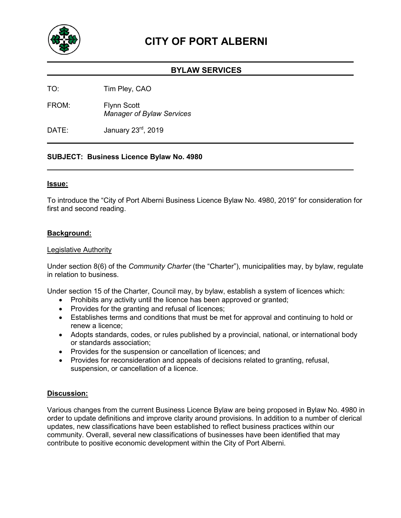

# **CITY OF PORT ALBERNI**

## **BYLAW SERVICES**

TO: Tim Pley, CAO

FROM: Flynn Scott *Manager of Bylaw Services*

DATE: January 23<sup>rd</sup>, 2019

## **SUBJECT: Business Licence Bylaw No. 4980**

#### **Issue:**

To introduce the "City of Port Alberni Business Licence Bylaw No. 4980, 2019" for consideration for first and second reading.

#### **Background:**

#### Legislative Authority

Under section 8(6) of the *Community Charter* (the "Charter"), municipalities may, by bylaw, regulate in relation to business.

Under section 15 of the Charter, Council may, by bylaw, establish a system of licences which:

- Prohibits any activity until the licence has been approved or granted;
- Provides for the granting and refusal of licences;
- Establishes terms and conditions that must be met for approval and continuing to hold or renew a licence;
- Adopts standards, codes, or rules published by a provincial, national, or international body or standards association;
- Provides for the suspension or cancellation of licences; and
- Provides for reconsideration and appeals of decisions related to granting, refusal, suspension, or cancellation of a licence.

## **Discussion:**

Various changes from the current Business Licence Bylaw are being proposed in Bylaw No. 4980 in order to update definitions and improve clarity around provisions. In addition to a number of clerical updates, new classifications have been established to reflect business practices within our community. Overall, several new classifications of businesses have been identified that may contribute to positive economic development within the City of Port Alberni.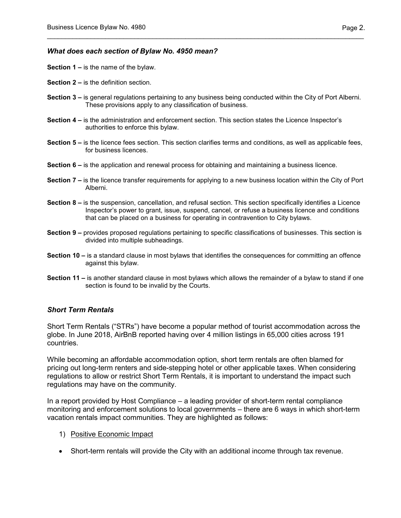#### *What does each section of Bylaw No. 4950 mean?*

- **Section 1 –** is the name of the bylaw.
- **Section 2 –** is the definition section.
- **Section 3 –** is general regulations pertaining to any business being conducted within the City of Port Alberni. These provisions apply to any classification of business.

\_\_\_\_\_\_\_\_\_\_\_\_\_\_\_\_\_\_\_\_\_\_\_\_\_\_\_\_\_\_\_\_\_\_\_\_\_\_\_\_\_\_\_\_\_\_\_\_\_\_\_\_\_\_\_\_\_\_\_\_\_\_\_\_\_\_\_\_\_\_\_\_\_\_\_\_\_\_\_\_\_\_\_\_\_\_\_

- **Section 4 –** is the administration and enforcement section. This section states the Licence Inspector's authorities to enforce this bylaw.
- **Section 5 –** is the licence fees section. This section clarifies terms and conditions, as well as applicable fees, for business licences.
- **Section 6 –** is the application and renewal process for obtaining and maintaining a business licence.
- **Section 7 –** is the licence transfer requirements for applying to a new business location within the City of Port Alberni.
- **Section 8 –** is the suspension, cancellation, and refusal section. This section specifically identifies a Licence Inspector's power to grant, issue, suspend, cancel, or refuse a business licence and conditions that can be placed on a business for operating in contravention to City bylaws.
- **Section 9 –** provides proposed regulations pertaining to specific classifications of businesses. This section is divided into multiple subheadings.
- **Section 10 –** is a standard clause in most bylaws that identifies the consequences for committing an offence against this bylaw.
- **Section 11 –** is another standard clause in most bylaws which allows the remainder of a bylaw to stand if one section is found to be invalid by the Courts.

## *Short Term Rentals*

Short Term Rentals ("STRs") have become a popular method of tourist accommodation across the globe. In June 2018, AirBnB reported having over 4 million listings in 65,000 cities across 191 countries.

While becoming an affordable accommodation option, short term rentals are often blamed for pricing out long-term renters and side-stepping hotel or other applicable taxes. When considering regulations to allow or restrict Short Term Rentals, it is important to understand the impact such regulations may have on the community.

In a report provided by Host Compliance – a leading provider of short-term rental compliance monitoring and enforcement solutions to local governments – there are 6 ways in which short-term vacation rentals impact communities. They are highlighted as follows:

- 1) Positive Economic Impact
- Short-term rentals will provide the City with an additional income through tax revenue.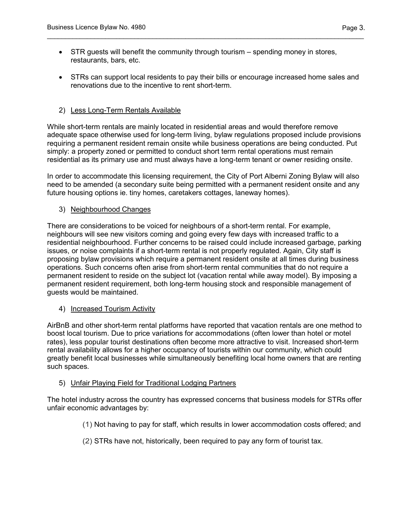• STR guests will benefit the community through tourism – spending money in stores, restaurants, bars, etc.

\_\_\_\_\_\_\_\_\_\_\_\_\_\_\_\_\_\_\_\_\_\_\_\_\_\_\_\_\_\_\_\_\_\_\_\_\_\_\_\_\_\_\_\_\_\_\_\_\_\_\_\_\_\_\_\_\_\_\_\_\_\_\_\_\_\_\_\_\_\_\_\_\_\_\_\_\_\_\_\_\_\_\_\_\_\_\_

• STRs can support local residents to pay their bills or encourage increased home sales and renovations due to the incentive to rent short-term.

## 2) Less Long-Term Rentals Available

While short-term rentals are mainly located in residential areas and would therefore remove adequate space otherwise used for long-term living, bylaw regulations proposed include provisions requiring a permanent resident remain onsite while business operations are being conducted. Put simply: a property zoned or permitted to conduct short term rental operations must remain residential as its primary use and must always have a long-term tenant or owner residing onsite.

In order to accommodate this licensing requirement, the City of Port Alberni Zoning Bylaw will also need to be amended (a secondary suite being permitted with a permanent resident onsite and any future housing options ie. tiny homes, caretakers cottages, laneway homes).

## 3) Neighbourhood Changes

There are considerations to be voiced for neighbours of a short-term rental. For example, neighbours will see new visitors coming and going every few days with increased traffic to a residential neighbourhood. Further concerns to be raised could include increased garbage, parking issues, or noise complaints if a short-term rental is not properly regulated. Again, City staff is proposing bylaw provisions which require a permanent resident onsite at all times during business operations. Such concerns often arise from short-term rental communities that do not require a permanent resident to reside on the subject lot (vacation rental while away model). By imposing a permanent resident requirement, both long-term housing stock and responsible management of guests would be maintained.

## 4) Increased Tourism Activity

AirBnB and other short-term rental platforms have reported that vacation rentals are one method to boost local tourism. Due to price variations for accommodations (often lower than hotel or motel rates), less popular tourist destinations often become more attractive to visit. Increased short-term rental availability allows for a higher occupancy of tourists within our community, which could greatly benefit local businesses while simultaneously benefiting local home owners that are renting such spaces.

## 5) Unfair Playing Field for Traditional Lodging Partners

The hotel industry across the country has expressed concerns that business models for STRs offer unfair economic advantages by:

- (1) Not having to pay for staff, which results in lower accommodation costs offered; and
- (2) STRs have not, historically, been required to pay any form of tourist tax.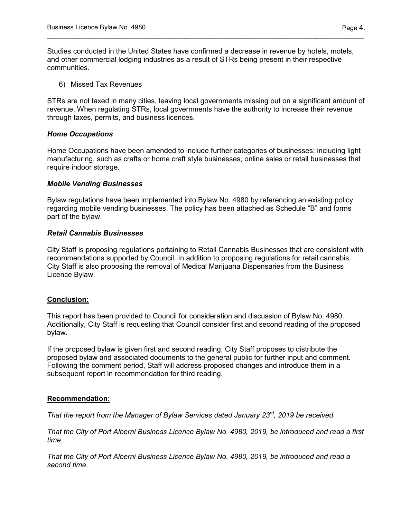Studies conducted in the United States have confirmed a decrease in revenue by hotels, motels, and other commercial lodging industries as a result of STRs being present in their respective communities.

\_\_\_\_\_\_\_\_\_\_\_\_\_\_\_\_\_\_\_\_\_\_\_\_\_\_\_\_\_\_\_\_\_\_\_\_\_\_\_\_\_\_\_\_\_\_\_\_\_\_\_\_\_\_\_\_\_\_\_\_\_\_\_\_\_\_\_\_\_\_\_\_\_\_\_\_\_\_\_\_\_\_\_\_\_\_\_

#### 6) Missed Tax Revenues

STRs are not taxed in many cities, leaving local governments missing out on a significant amount of revenue. When regulating STRs, local governments have the authority to increase their revenue through taxes, permits, and business licences.

#### *Home Occupations*

Home Occupations have been amended to include further categories of businesses; including light manufacturing, such as crafts or home craft style businesses, online sales or retail businesses that require indoor storage.

#### *Mobile Vending Businesses*

Bylaw regulations have been implemented into Bylaw No. 4980 by referencing an existing policy regarding mobile vending businesses. The policy has been attached as Schedule "B" and forms part of the bylaw.

#### *Retail Cannabis Businesses*

City Staff is proposing regulations pertaining to Retail Cannabis Businesses that are consistent with recommendations supported by Council. In addition to proposing regulations for retail cannabis, City Staff is also proposing the removal of Medical Marijuana Dispensaries from the Business Licence Bylaw.

#### **Conclusion:**

This report has been provided to Council for consideration and discussion of Bylaw No. 4980. Additionally, City Staff is requesting that Council consider first and second reading of the proposed bylaw.

If the proposed bylaw is given first and second reading, City Staff proposes to distribute the proposed bylaw and associated documents to the general public for further input and comment. Following the comment period, Staff will address proposed changes and introduce them in a subsequent report in recommendation for third reading.

## **Recommendation:**

*That the report from the Manager of Bylaw Services dated January 23rd, 2019 be received.*

*That the City of Port Alberni Business Licence Bylaw No. 4980, 2019, be introduced and read a first time.*

*That the City of Port Alberni Business Licence Bylaw No. 4980, 2019, be introduced and read a second time.*